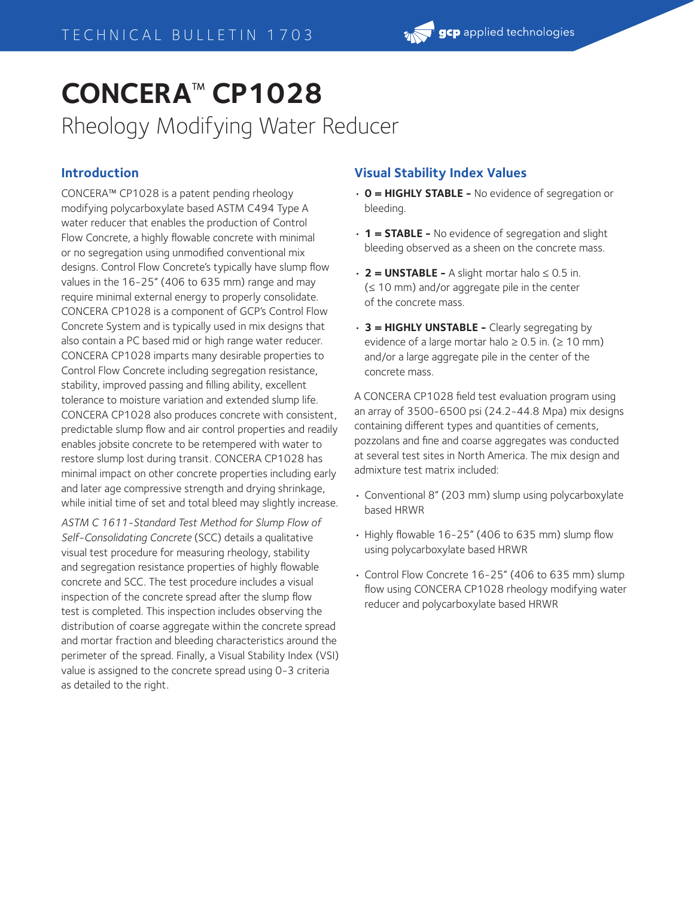# **CONCERA**™ **CP1028**

Rheology Modifying Water Reducer

## **Introduction**

CONCERA™ CP1028 is a patent pending rheology modifying polycarboxylate based ASTM C494 Type A water reducer that enables the production of Control Flow Concrete, a highly flowable concrete with minimal or no segregation using unmodified conventional mix designs. Control Flow Concrete's typically have slump flow values in the 16-25" (406 to 635 mm) range and may require minimal external energy to properly consolidate. CONCERA CP1028 is a component of GCP's Control Flow Concrete System and is typically used in mix designs that also contain a PC based mid or high range water reducer. CONCERA CP1028 imparts many desirable properties to Control Flow Concrete including segregation resistance, stability, improved passing and filling ability, excellent tolerance to moisture variation and extended slump life. CONCERA CP1028 also produces concrete with consistent, predictable slump flow and air control properties and readily enables jobsite concrete to be retempered with water to restore slump lost during transit. CONCERA CP1028 has minimal impact on other concrete properties including early and later age compressive strength and drying shrinkage, while initial time of set and total bleed may slightly increase.

*ASTM C 1611-Standard Test Method for Slump Flow of Self-Consolidating Concrete* (SCC) details a qualitative visual test procedure for measuring rheology, stability and segregation resistance properties of highly flowable concrete and SCC. The test procedure includes a visual inspection of the concrete spread after the slump flow test is completed. This inspection includes observing the distribution of coarse aggregate within the concrete spread and mortar fraction and bleeding characteristics around the perimeter of the spread. Finally, a Visual Stability Index (VSI) value is assigned to the concrete spread using 0-3 criteria as detailed to the right.

### **Visual Stability Index Values**

- **0 = HIGHLY STABLE -** No evidence of segregation or bleeding.
- **1 = STABLE -** No evidence of segregation and slight bleeding observed as a sheen on the concrete mass.
- **2 = UNSTABLE -** A slight mortar halo ≤ 0.5 in. (≤ 10 mm) and/or aggregate pile in the center of the concrete mass.
- **3 = HIGHLY UNSTABLE -** Clearly segregating by evidence of a large mortar halo  $\geq 0.5$  in. ( $\geq 10$  mm) and/or a large aggregate pile in the center of the concrete mass.

A CONCERA CP1028 field test evaluation program using an array of 3500-6500 psi (24.2-44.8 Mpa) mix designs containing different types and quantities of cements, pozzolans and fine and coarse aggregates was conducted at several test sites in North America. The mix design and admixture test matrix included:

- Conventional 8" (203 mm) slump using polycarboxylate based HRWR
- Highly flowable 16-25" (406 to 635 mm) slump flow using polycarboxylate based HRWR
- Control Flow Concrete 16-25" (406 to 635 mm) slump flow using CONCERA CP1028 rheology modifying water reducer and polycarboxylate based HRWR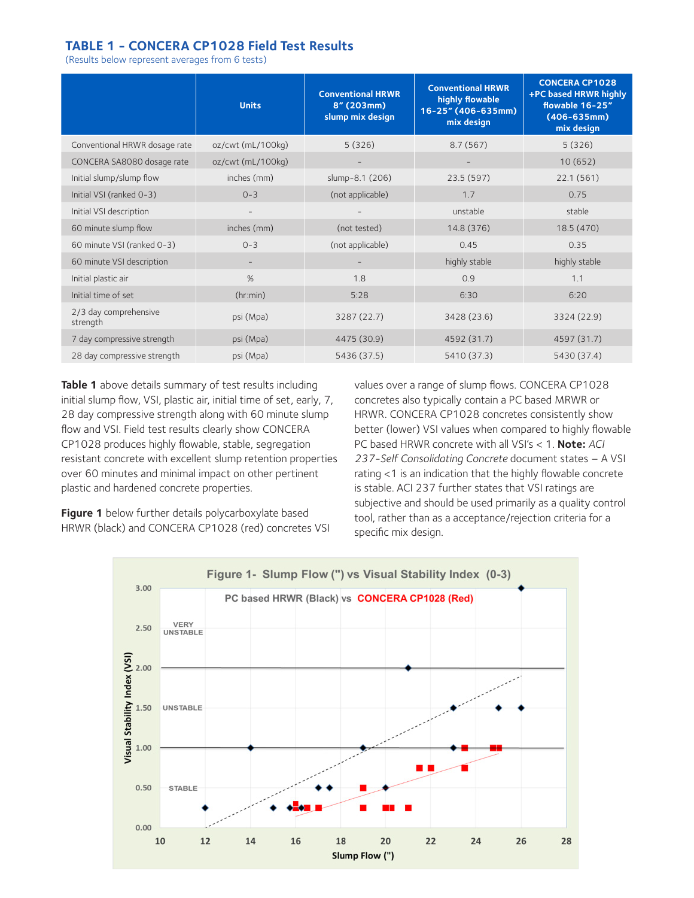#### **TABLE 1 - CONCERA CP1028 Field Test Results**

(Results below represent averages from 6 tests)

|                                   | <b>Units</b>      | <b>Conventional HRWR</b><br>8" (203mm)<br>slump mix design | <b>Conventional HRWR</b><br>highly flowable<br>16-25" (406-635mm)<br>mix design | <b>CONCERA CP1028</b><br>+PC based HRWR highly<br>flowable 16-25"<br>$(406 - 635$ mm)<br>mix design |
|-----------------------------------|-------------------|------------------------------------------------------------|---------------------------------------------------------------------------------|-----------------------------------------------------------------------------------------------------|
| Conventional HRWR dosage rate     | oz/cwt (mL/100kg) | 5(326)                                                     | 8.7(567)                                                                        | 5(326)                                                                                              |
| CONCERA SA8080 dosage rate        | oz/cwt (mL/100kg) |                                                            |                                                                                 | 10(652)                                                                                             |
| Initial slump/slump flow          | inches (mm)       | slump-8.1 (206)                                            | 23.5 (597)                                                                      | 22.1 (561)                                                                                          |
| Initial VSI (ranked 0-3)          | $0 - 3$           | (not applicable)                                           | 1.7                                                                             | 0.75                                                                                                |
| Initial VSI description           |                   |                                                            | unstable                                                                        | stable                                                                                              |
| 60 minute slump flow              | inches (mm)       | (not tested)                                               | 14.8 (376)                                                                      | 18.5 (470)                                                                                          |
| 60 minute VSI (ranked 0-3)        | $0 - 3$           | (not applicable)                                           | 0.45                                                                            | 0.35                                                                                                |
| 60 minute VSI description         |                   |                                                            | highly stable                                                                   | highly stable                                                                                       |
| Initial plastic air               | %                 | 1.8                                                        | 0.9                                                                             | 1.1                                                                                                 |
| Initial time of set               | (hr:min)          | 5:28                                                       | 6:30                                                                            | 6:20                                                                                                |
| 2/3 day comprehensive<br>strength | psi (Mpa)         | 3287 (22.7)                                                | 3428 (23.6)                                                                     | 3324 (22.9)                                                                                         |
| 7 day compressive strength        | psi (Mpa)         | 4475 (30.9)                                                | 4592 (31.7)                                                                     | 4597 (31.7)                                                                                         |
| 28 day compressive strength       | psi (Mpa)         | 5436 (37.5)                                                | 5410 (37.3)                                                                     | 5430 (37.4)                                                                                         |

**Table 1** above details summary of test results including initial slump flow, VSI, plastic air, initial time of set, early, 7, 28 day compressive strength along with 60 minute slump flow and VSI. Field test results clearly show CONCERA CP1028 produces highly flowable, stable, segregation resistant concrete with excellent slump retention properties over 60 minutes and minimal impact on other pertinent plastic and hardened concrete properties.

**Figure 1** below further details polycarboxylate based HRWR (black) and CONCERA CP1028 (red) concretes VSI values over a range of slump flows. CONCERA CP1028 concretes also typically contain a PC based MRWR or HRWR. CONCERA CP1028 concretes consistently show better (lower) VSI values when compared to highly flowable PC based HRWR concrete with all VSI's < 1. **Note:** *ACI 237-Self Consolidating Concrete* document states – A VSI rating <1 is an indication that the highly flowable concrete is stable. ACI 237 further states that VSI ratings are subjective and should be used primarily as a quality control tool, rather than as a acceptance/rejection criteria for a specific mix design.